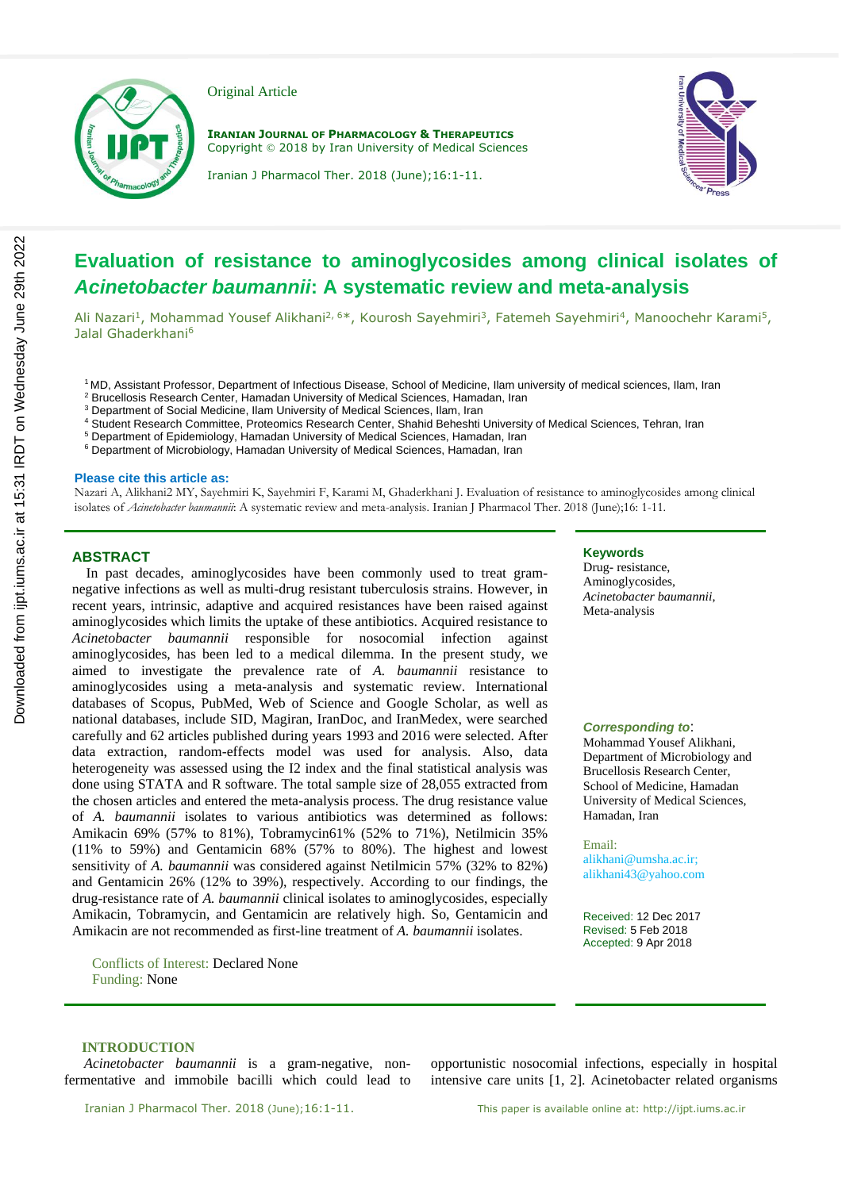

Original Article

**IRANIAN JOURNAL OF PHARMACOLOGY & THERAPEUTICS** Copyright © 2018 by Iran University of Medical Sciences



Iranian J Pharmacol Ther. 2018 (June);16:1-11.

# **Evaluation of resistance to aminoglycosides among clinical isolates of**  *Acinetobacter baumannii***: A systematic review and meta-analysis**

Ali Nazari<sup>1</sup>, Mohammad Yousef Alikhani<sup>2, 6\*</sup>, Kourosh Sayehmiri<sup>3</sup>, Fatemeh Sayehmiri<sup>4</sup>, Manoochehr Karami<sup>5</sup>, Jalal Ghaderkhani<sup>6</sup>

<sup>1</sup> MD, Assistant Professor, Department of Infectious Disease, School of Medicine, Ilam university of medical sciences, Ilam, Iran

- <sup>2</sup> Brucellosis Research Center, Hamadan University of Medical Sciences, Hamadan, Iran
- <sup>3</sup> Department of Social Medicine, Ilam University of Medical Sciences, Ilam, Iran
- <sup>4</sup> Student Research Committee, Proteomics Research Center, Shahid Beheshti University of Medical Sciences, Tehran, Iran
- <sup>5</sup> Department of Epidemiology, Hamadan University of Medical Sciences, Hamadan, Iran
- <sup>6</sup> Department of Microbiology, Hamadan University of Medical Sciences, Hamadan, Iran

### **Please cite this article as:**

Nazari A, Alikhani2 MY, Sayehmiri K, Sayehmiri F, Karami M, Ghaderkhani J. Evaluation of resistance to aminoglycosides among clinical isolates of *Acinetobacter baumannii*: A systematic review and meta-analysis. Iranian J Pharmacol Ther. 2018 (June);16: 1-11.

### **ABSTRACT**

 In past decades, aminoglycosides have been commonly used to treat gramnegative infections as well as multi-drug resistant tuberculosis strains. However, in recent years, intrinsic, adaptive and acquired resistances have been raised against aminoglycosides which limits the uptake of these antibiotics. Acquired resistance to *Acinetobacter baumannii* responsible for nosocomial infection against aminoglycosides, has been led to a medical dilemma. In the present study, we aimed to investigate the prevalence rate of *A. baumannii* resistance to aminoglycosides using a meta-analysis and systematic review. International databases of Scopus, PubMed, Web of Science and Google Scholar, as well as national databases, include SID, Magiran, IranDoc, and IranMedex, were searched carefully and 62 articles published during years 1993 and 2016 were selected. After data extraction, random-effects model was used for analysis. Also, data heterogeneity was assessed using the I2 index and the final statistical analysis was done using STATA and R software. The total sample size of 28,055 extracted from the chosen articles and entered the meta-analysis process. The drug resistance value of *A. baumannii* isolates to various antibiotics was determined as follows: Amikacin 69% (57% to 81%), Tobramycin61% (52% to 71%), Netilmicin 35% (11% to 59%) and Gentamicin 68% (57% to 80%). The highest and lowest sensitivity of *A. baumannii* was considered against Netilmicin 57% (32% to 82%) and Gentamicin 26% (12% to 39%), respectively. According to our findings, the drug-resistance rate of *A. baumannii* clinical isolates to aminoglycosides, especially Amikacin, Tobramycin, and Gentamicin are relatively high. So, Gentamicin and Amikacin are not recommended as first-line treatment of *A. baumannii* isolates.

Conflicts of Interest: Declared None Funding: None

### **Keywords**

Drug- resistance, Aminoglycosides, *Acinetobacter baumannii*, Meta-analysis

### *Corresponding to*:

Mohammad Yousef Alikhani, Department of Microbiology and Brucellosis Research Center, School of Medicine, Hamadan University of Medical Sciences, Hamadan, Iran

Email: alikhani@umsha.ac.ir; alikhani43@yahoo.com

Received: 12 Dec 2017 Revised: 5 Feb 2018 Accepted: 9 Apr 2018

### **INTRODUCTION**

*Acinetobacter baumannii* is a gram-negative, nonfermentative and immobile bacilli which could lead to

opportunistic nosocomial infections, especially in hospital intensive care units [1, 2]. Acinetobacter related organisms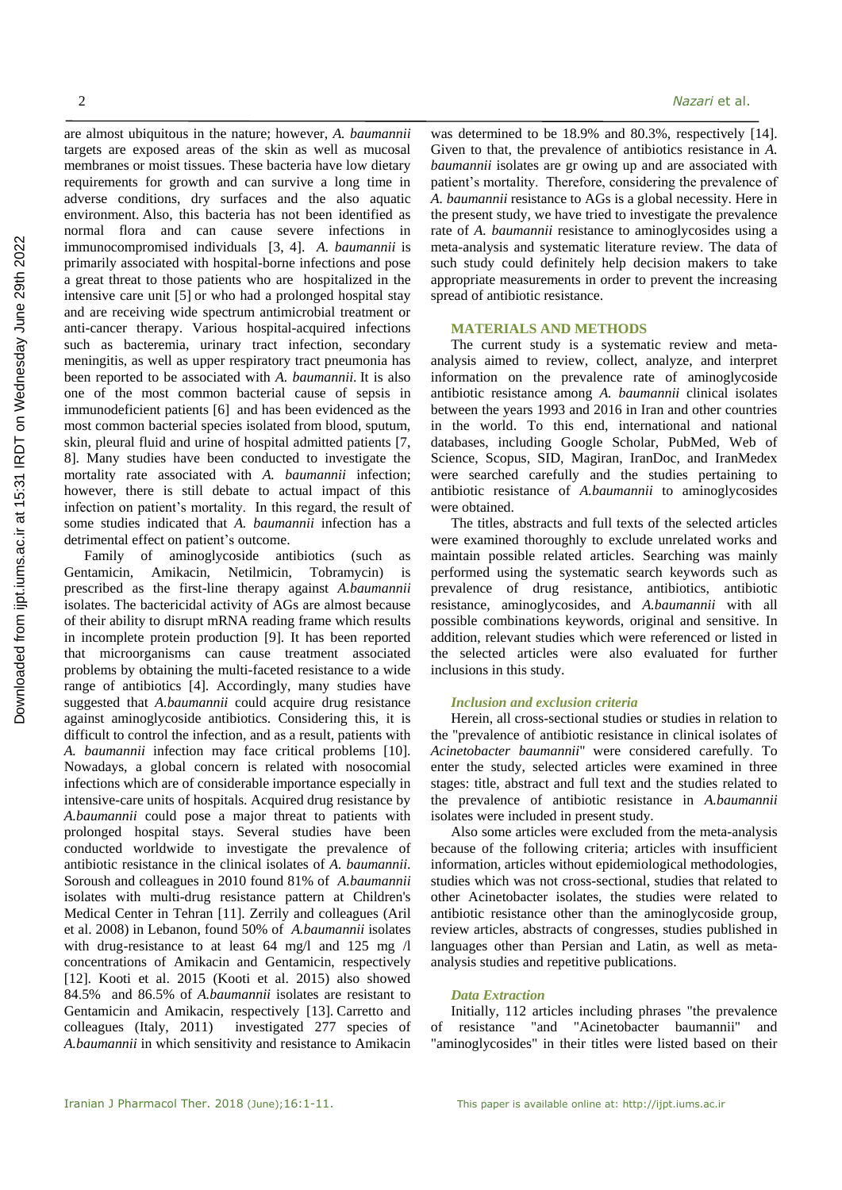are almost ubiquitous in the nature; however, *A. baumannii* targets are exposed areas of the skin as well as mucosal membranes or moist tissues. These bacteria have low dietary requirements for growth and can survive a long time in adverse conditions, dry surfaces and the also aquatic environment. Also, this bacteria has not been identified as normal flora and can cause severe infections in immunocompromised individuals [3, 4]. *A. baumannii* is primarily associated with hospital-borne infections and pose a great threat to those patients who are hospitalized in the intensive care unit [5] or who had a prolonged hospital stay and are receiving wide spectrum antimicrobial treatment or anti-cancer therapy. Various hospital-acquired infections such as bacteremia, urinary tract infection, secondary meningitis, as well as upper respiratory tract pneumonia has been reported to be associated with *A. baumannii*. It is also one of the most common bacterial cause of sepsis in immunodeficient patients [6] and has been evidenced as the most common bacterial species isolated from blood, sputum, skin, pleural fluid and urine of hospital admitted patients [7, 8]. Many studies have been conducted to investigate the mortality rate associated with *A. baumannii* infection; however, there is still debate to actual impact of this infection on patient's mortality. In this regard, the result of some studies indicated that *A. baumannii* infection has a detrimental effect on patient's outcome.

Family of aminoglycoside antibiotics (such as Gentamicin, Amikacin, Netilmicin, Tobramycin) is prescribed as the first-line therapy against *A.baumannii* isolates. The bactericidal activity of AGs are almost because of their ability to disrupt mRNA reading frame which results in incomplete protein production [9]. It has been reported that microorganisms can cause treatment associated problems by obtaining the multi-faceted resistance to a wide range of antibiotics [4]. Accordingly, many studies have suggested that *A.baumannii* could acquire drug resistance against aminoglycoside antibiotics. Considering this, it is difficult to control the infection, and as a result, patients with *A. baumannii* infection may face critical problems [10]. Nowadays, a global concern is related with nosocomial infections which are of considerable importance especially in intensive-care units of hospitals. Acquired drug resistance by *A.baumannii* could pose a major threat to patients with prolonged hospital stays. Several studies have been conducted worldwide to investigate the prevalence of antibiotic resistance in the clinical isolates of *A. baumannii*. Soroush and colleagues in 2010 found 81% of *A.baumannii* isolates with multi-drug resistance pattern at Children's Medical Center in Tehran [11]. Zerrily and colleagues (Aril et al. 2008) in Lebanon, found 50% of *A.baumannii* isolates with drug-resistance to at least 64 mg/l and 125 mg /l concentrations of Amikacin and Gentamicin, respectively [12]. Kooti et al. 2015 (Kooti et al. 2015) also showed 84.5% and 86.5% of *A.baumannii* isolates are resistant to Gentamicin and Amikacin, respectively [13]. Carretto and colleagues (Italy, 2011) investigated 277 species of *A.baumannii* in which sensitivity and resistance to Amikacin

was determined to be 18.9% and 80.3%, respectively [14]. Given to that, the prevalence of antibiotics resistance in *A. baumannii* isolates are gr owing up and are associated with patient's mortality. Therefore, considering the prevalence of *A. baumannii* resistance to AGs is a global necessity. Here in the present study, we have tried to investigate the prevalence rate of *A. baumannii* resistance to aminoglycosides using a meta-analysis and systematic literature review. The data of such study could definitely help decision makers to take appropriate measurements in order to prevent the increasing spread of antibiotic resistance.

### **MATERIALS AND METHODS**

The current study is a systematic review and metaanalysis aimed to review, collect, analyze, and interpret information on the prevalence rate of aminoglycoside antibiotic resistance among *A. baumannii* clinical isolates between the years 1993 and 2016 in Iran and other countries in the world. To this end, international and national databases, including Google Scholar, PubMed, Web of Science, Scopus, SID, Magiran, IranDoc, and IranMedex were searched carefully and the studies pertaining to antibiotic resistance of *A.baumannii* to aminoglycosides were obtained.

The titles, abstracts and full texts of the selected articles were examined thoroughly to exclude unrelated works and maintain possible related articles. Searching was mainly performed using the systematic search keywords such as prevalence of drug resistance, antibiotics, antibiotic resistance, aminoglycosides, and *A.baumannii* with all possible combinations keywords, original and sensitive. In addition, relevant studies which were referenced or listed in the selected articles were also evaluated for further inclusions in this study.

### *Inclusion and exclusion criteria*

Herein, all cross-sectional studies or studies in relation to the "prevalence of antibiotic resistance in clinical isolates of *Acinetobacter baumannii*" were considered carefully. To enter the study, selected articles were examined in three stages: title, abstract and full text and the studies related to the prevalence of antibiotic resistance in *A.baumannii* isolates were included in present study.

Also some articles were excluded from the meta-analysis because of the following criteria; articles with insufficient information, articles without epidemiological methodologies, studies which was not cross-sectional, studies that related to other Acinetobacter isolates, the studies were related to antibiotic resistance other than the aminoglycoside group, review articles, abstracts of congresses, studies published in languages other than Persian and Latin, as well as metaanalysis studies and repetitive publications.

### *Data Extraction*

Initially, 112 articles including phrases "the prevalence resistance "and "Acinetobacter baumannii" and "aminoglycosides" in their titles were listed based on their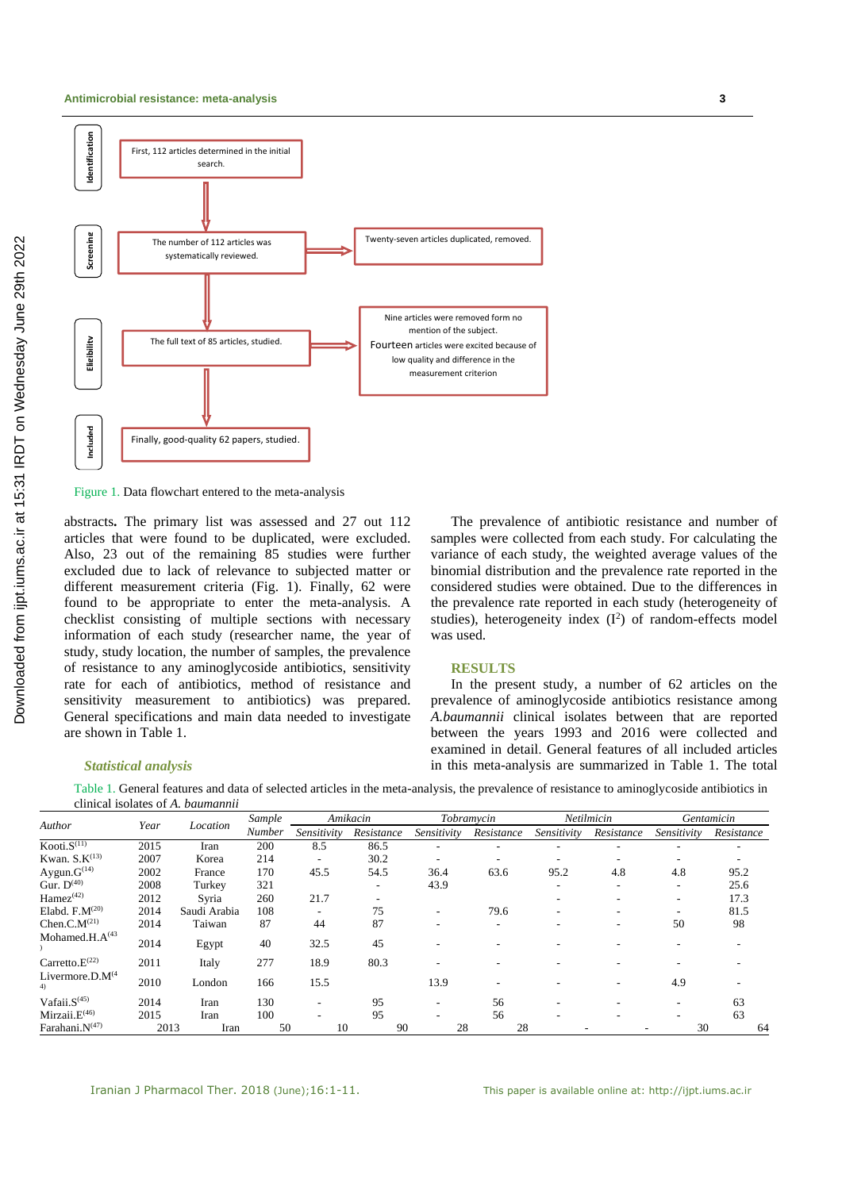

Figure 1. Data flowchart entered to the meta-analysis

abstracts**.** The primary list was assessed and 27 out 112 articles that were found to be duplicated, were excluded. Also, 23 out of the remaining 85 studies were further excluded due to lack of relevance to subjected matter or different measurement criteria (Fig. 1). Finally, 62 were found to be appropriate to enter the meta-analysis. A checklist consisting of multiple sections with necessary information of each study (researcher name, the year of study, study location, the number of samples, the prevalence of resistance to any aminoglycoside antibiotics, sensitivity rate for each of antibiotics, method of resistance and sensitivity measurement to antibiotics) was prepared. General specifications and main data needed to investigate are shown in Table 1.

## samples were collected from each study. For calculating the variance of each study, the weighted average values of the binomial distribution and the prevalence rate reported in the considered studies were obtained. Due to the differences in the prevalence rate reported in each study (heterogeneity of studies), heterogeneity index  $(I^2)$  of random-effects model was used.

The prevalence of antibiotic resistance and number of

### **RESULTS**

In the present study, a number of 62 articles on the prevalence of aminoglycoside antibiotics resistance among *A.baumannii* clinical isolates between that are reported between the years 1993 and 2016 were collected and examined in detail. General features of all included articles in this meta-analysis are summarized in Table 1. The total

### *Statistical analysis*

Table 1. General features and data of selected articles in the meta-analysis, the prevalence of resistance to aminoglycoside antibiotics in clinical isolates of *A. baumannii*

|                              |      |              | Sample |                          | Amikacin                 |             | Tobramycin |             | Netilmicin               |                          | Gentamicin |  |
|------------------------------|------|--------------|--------|--------------------------|--------------------------|-------------|------------|-------------|--------------------------|--------------------------|------------|--|
| Author                       | Year | Location     | Number | Sensitivity              | Resistance               | Sensitivity | Resistance | Sensitivity | Resistance               | Sensitivity              | Resistance |  |
| Kooti. $S^{(11)}$            | 2015 | Iran         | 200    | 8.5                      | 86.5                     |             |            |             |                          |                          |            |  |
| Kwan. $S.K^{(13)}$           | 2007 | Korea        | 214    |                          | 30.2                     |             |            |             |                          |                          |            |  |
| Aygun. $G^{(14)}$            | 2002 | France       | 170    | 45.5                     | 54.5                     | 36.4        | 63.6       | 95.2        | 4.8                      | 4.8                      | 95.2       |  |
| Gur. $D^{(40)}$              | 2008 | Turkey       | 321    |                          |                          | 43.9        |            | ۰           | -                        | ۰                        | 25.6       |  |
| $Hamez^{(42)}$               | 2012 | Syria        | 260    | 21.7                     | $\overline{\phantom{a}}$ |             |            |             | $\overline{\phantom{a}}$ | $\overline{\phantom{a}}$ | 17.3       |  |
| Elabd. $F.M^{(20)}$          | 2014 | Saudi Arabia | 108    | $\overline{\phantom{a}}$ | 75                       |             | 79.6       |             | $\overline{\phantom{a}}$ | ۰                        | 81.5       |  |
| Chen.C.M <sup>(21)</sup>     | 2014 | Taiwan       | 87     | 44                       | 87                       |             |            |             |                          | 50                       | 98         |  |
| Mohamed.H. $A^{(43)}$        | 2014 | Egypt        | 40     | 32.5                     | 45                       |             |            |             |                          |                          |            |  |
| Carretto. $E^{(22)}$         | 2011 | Italy        | 277    | 18.9                     | 80.3                     |             |            |             |                          |                          |            |  |
| Livermore.D. $M^{(4)}$<br>4) | 2010 | London       | 166    | 15.5                     |                          | 13.9        |            |             |                          | 4.9                      |            |  |
| Vafaii. $S^{(45)}$           | 2014 | Iran         | 130    | ٠                        | 95                       |             | 56         |             |                          | ۰                        | 63         |  |
| Mirzaii. $E(46)$             | 2015 | Iran         | 100    | $\overline{\phantom{a}}$ | 95                       |             | 56         |             | -                        | ۰                        | 63         |  |
| Farahani.N(47)               | 2013 | Iran         | 50     | 10                       | 90                       | 28          | 28         |             |                          | 30                       | 64         |  |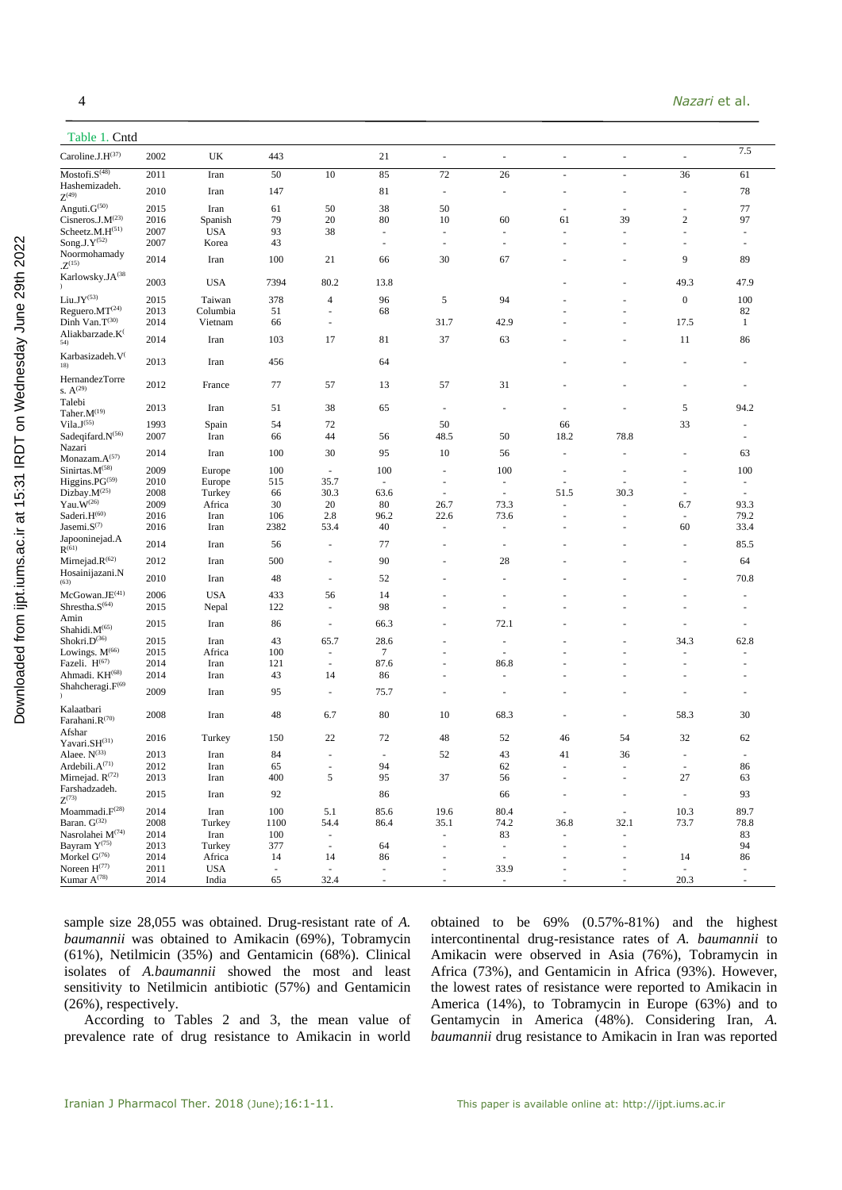| Table 1. Cntd                                         |              |                      |                                |                          |                                    |                                    |                                    |                                                      |                          |                                    |                                    |
|-------------------------------------------------------|--------------|----------------------|--------------------------------|--------------------------|------------------------------------|------------------------------------|------------------------------------|------------------------------------------------------|--------------------------|------------------------------------|------------------------------------|
| Caroline.J.H(37)                                      | 2002         | UK                   | 443                            |                          | 21                                 | $\overline{\phantom{a}}$           | $\overline{\phantom{a}}$           | ÷,                                                   | $\overline{\phantom{a}}$ | $\overline{\phantom{a}}$           | 7.5                                |
| Mostofi.S <sup>(48)</sup>                             | 2011         | Iran                 | 50                             | 10                       | 85                                 | 72                                 | 26                                 | $\overline{\phantom{a}}$                             | $\sim$                   | 36                                 | 61                                 |
| Hashemizadeh.<br>$Z^{(49)}$                           | 2010         | Iran                 | 147                            |                          | 81                                 | $\overline{\phantom{a}}$           | $\overline{\phantom{a}}$           |                                                      |                          | $\overline{\phantom{a}}$           | 78                                 |
| Anguti.G(50)                                          | 2015         | Iran                 | 61                             | 50                       | 38                                 | 50                                 |                                    |                                                      |                          | $\overline{\phantom{a}}$           | 77                                 |
| Cisneros.J. $M(23)$                                   | 2016         | Spanish              | 79                             | 20                       | 80                                 | 10                                 | 60                                 | 61                                                   | 39                       | $\sqrt{2}$                         | 97                                 |
| Scheetz.M.H <sup>(51)</sup><br>Song.J. $Y^{(52)}$     | 2007<br>2007 | <b>USA</b><br>Korea  | 93<br>43                       | 38                       | $\sim$<br>$\overline{\phantom{a}}$ | $\sim$<br>$\overline{\phantom{a}}$ | $\sim$<br>$\overline{\phantom{a}}$ | $\overline{\phantom{a}}$<br>$\overline{\phantom{a}}$ | $\overline{a}$           | $\sim$<br>$\overline{\phantom{a}}$ | $\sim$<br>$\overline{\phantom{a}}$ |
| Noormohamady                                          |              |                      |                                |                          |                                    |                                    |                                    |                                                      |                          |                                    |                                    |
| $Z^{(15)}$                                            | 2014         | Iran                 | 100                            | 21                       | 66                                 | 30                                 | 67                                 |                                                      |                          | 9                                  | 89                                 |
| Karlowsky.JA(38                                       | 2003         | <b>USA</b>           | 7394                           | 80.2                     | 13.8                               |                                    |                                    |                                                      |                          | 49.3                               | 47.9                               |
| $\mathrm{Li} \mathrm{u}.\mathrm{J} \mathrm{Y}^{(53)}$ | 2015         | Taiwan               | 378                            | $\overline{4}$           | 96                                 | 5                                  | 94                                 |                                                      |                          | $\boldsymbol{0}$                   | 100                                |
| Reguero.MT(24)                                        | 2013         | Columbia             | 51                             | $\overline{\phantom{a}}$ | 68                                 |                                    |                                    |                                                      |                          |                                    | 82                                 |
| Dinh Van.T(30)<br>Aliakbarzade.K <sup>(</sup>         | 2014         | Vietnam              | 66                             | $\sim$                   |                                    | 31.7                               | 42.9                               |                                                      |                          | 17.5                               | $\mathbf{1}$                       |
| 54)                                                   | 2014         | Iran                 | 103                            | 17                       | 81                                 | 37                                 | 63                                 |                                                      |                          | 11                                 | 86                                 |
| Karbasizadeh. V<br>18)                                | 2013         | Iran                 | 456                            |                          | 64                                 |                                    |                                    |                                                      |                          |                                    |                                    |
| HernandezTorre<br>s. $A^{(29)}$                       | 2012         | France               | 77                             | 57                       | 13                                 | 57                                 | 31                                 |                                                      |                          |                                    |                                    |
| Talebi<br>Taher.M(19)                                 | 2013         | Iran                 | 51                             | 38                       | 65                                 | ÷,                                 | $\sim$                             |                                                      |                          | 5                                  | 94.2                               |
| Vila.J <sup>(55)</sup>                                | 1993         | Spain                | 54                             | 72                       |                                    | 50                                 |                                    | 66                                                   |                          | 33                                 |                                    |
| Sadeqifard.N <sup>(56)</sup>                          | 2007         | Iran                 | 66                             | 44                       | 56                                 | 48.5                               | 50                                 | 18.2                                                 | 78.8                     |                                    |                                    |
| Nazari                                                | 2014         | Iran                 | 100                            | 30                       | 95                                 | 10                                 | 56                                 |                                                      |                          |                                    | 63                                 |
| Monazam. $A^{(57)}$<br>Sinirtas.M <sup>(58)</sup>     | 2009         | Europe               | 100                            | $\blacksquare$           | 100                                | ä,                                 | 100                                |                                                      |                          |                                    | 100                                |
| Higgins.PG <sup>(59)</sup>                            | 2010         | Europe               | 515                            | 35.7                     | $\sim$                             | $\overline{\phantom{a}}$           | $\sim$                             | $\sim$                                               |                          | $\overline{\phantom{a}}$           | $\overline{\phantom{a}}$           |
| Dizbay.M(25)                                          | 2008         | Turkey               | 66                             | 30.3                     | 63.6                               | $\overline{\phantom{a}}$           | $\overline{\phantom{a}}$           | 51.5                                                 | 30.3                     | $\sim$                             | $\sim$                             |
| Yau. $W^{(26)}$                                       | 2009         | Africa               | 30                             | 20                       | 80                                 | 26.7                               | 73.3                               |                                                      | $\sim$                   | 6.7                                | 93.3                               |
| Saderi.H <sup>(60)</sup>                              | 2016         | Iran                 | 106                            | 2.8                      | 96.2                               | 22.6                               | 73.6                               | $\sim$                                               | $\sim$                   | $\overline{\phantom{a}}$           | 79.2                               |
| Jasemi. $S^{(7)}$<br>Japooninejad.A                   | 2016         | Iran                 | 2382                           | 53.4                     | 40                                 | $\overline{\phantom{a}}$           | $\overline{\phantom{a}}$           | $\overline{\phantom{a}}$                             |                          | 60                                 | 33.4                               |
| $R^{(61)}$                                            | 2014         | Iran                 | 56                             | $\overline{\phantom{a}}$ | 77                                 |                                    | $\sim$                             |                                                      |                          | $\sim$                             | 85.5                               |
| Mirnejad. $R^{(62)}$                                  | 2012         | Iran                 | 500                            | $\overline{\phantom{a}}$ | 90                                 |                                    | 28                                 |                                                      |                          |                                    | 64                                 |
| Hosainijazani.N<br>(63)                               | 2010         | Iran                 | 48                             | ÷,                       | 52                                 |                                    | $\sim$                             |                                                      |                          |                                    | 70.8                               |
| McGowan.JE(41)                                        | 2006         | <b>USA</b>           | 433                            | 56                       | 14                                 |                                    |                                    |                                                      |                          |                                    |                                    |
| Shrestha.S <sup>(64)</sup>                            | 2015         | Nepal                | 122                            | $\overline{\phantom{a}}$ | 98                                 | $\overline{a}$                     | ÷,                                 |                                                      |                          |                                    |                                    |
| Amin<br>Shahidi.M(65)                                 | 2015         | Iran                 | 86                             | $\overline{\phantom{a}}$ | 66.3                               |                                    | 72.1                               |                                                      |                          | $\overline{\phantom{a}}$           | $\sim$                             |
| Shokri.D <sup>(36)</sup>                              | 2015         | Iran                 | 43                             | 65.7                     | 28.6                               |                                    | $\sim$                             |                                                      |                          | 34.3                               | 62.8                               |
| Lowings. M <sup>(66)</sup>                            | 2015         | Africa               | 100                            | ÷,                       | $\tau$                             |                                    |                                    |                                                      |                          | $\sim$                             |                                    |
| Fazeli. H <sup>(67)</sup>                             | 2014         | Iran                 | 121                            | $\overline{\phantom{a}}$ | 87.6                               | ٠                                  | 86.8                               |                                                      |                          |                                    |                                    |
| Ahmadi. KH <sup>(68)</sup>                            | 2014         | Iran                 | 43                             | 14                       | 86                                 | ÷                                  | $\overline{\phantom{a}}$           |                                                      |                          |                                    |                                    |
| Shahcheragi.F <sup>(69</sup>                          | 2009         | Iran                 | 95                             | ÷,                       | 75.7                               | ÷                                  | ÷,                                 |                                                      |                          |                                    | $\sim$                             |
| Kalaatbari<br>Farahani.R(70)                          | 2008         | Iran                 | 48                             | 6.7                      | 80                                 | 10                                 | 68.3                               |                                                      |                          | 58.3                               | 30                                 |
| Afshar<br>Yavari.SH(31)                               | 2016         | Turkey               | 150                            | 22                       | 72                                 | 48                                 | 52                                 | 46                                                   | 54                       | 32                                 | 62                                 |
| Alaee. $\mathbf{N}^{(33)}$                            | 2013         | Iran                 | 84                             | $\sim$                   | $\sim$                             | 52                                 | 43                                 | 41                                                   | 36                       | $\sim$                             | $\sim$                             |
| Ardebili. $A^{(1)}$                                   | 2012         | Iran                 | 65                             |                          | 94                                 |                                    | 62                                 |                                                      |                          |                                    | 86                                 |
| Mirnejad. $R^{(72)}$                                  | 2013         | Iran                 | 400                            | 5                        | 95                                 | 37                                 | 56                                 | $\overline{\phantom{a}}$                             |                          | $27\,$                             | 63                                 |
| Farshadzadeh.<br>$Z^{(73)}$                           | 2015         | Iran                 | 92                             |                          | 86                                 |                                    | 66                                 |                                                      |                          | $\blacksquare$                     | 93                                 |
| Moammadi. $F^{(28)}$                                  | 2014         | Iran                 | 100                            | 5.1                      | 85.6                               | 19.6                               | 80.4                               |                                                      | $\overline{\phantom{a}}$ | 10.3                               | 89.7                               |
| Baran. G(32)                                          | 2008         | Turkey               | 1100                           | 54.4                     | 86.4                               | 35.1                               | 74.2                               | 36.8                                                 | 32.1                     | 73.7                               | 78.8                               |
| Nasrolahei M(74)                                      | 2014         | Iran                 | 100                            | $\overline{\phantom{a}}$ |                                    | ÷.                                 | 83                                 |                                                      | $\overline{a}$           |                                    | 83                                 |
| Bayram Y <sup>(75)</sup><br>Morkel $G^{(76)}$         | 2013         | Turkey               | 377                            | $\sim$                   | 64                                 | ÷,                                 | $\overline{\phantom{a}}$           | $\overline{\phantom{a}}$                             | $\sim$                   |                                    | 94                                 |
| Noreen $H^{(77)}$                                     | 2014<br>2011 | Africa<br><b>USA</b> | 14<br>$\overline{\phantom{a}}$ | 14                       | 86<br>ä,                           |                                    | $\blacksquare$<br>33.9             |                                                      |                          | 14<br>$\sim$                       | 86                                 |
| Kumar $A^{(78)}$                                      | 2014         | India                | 65                             | 32.4                     | $\overline{\phantom{a}}$           | $\sim$                             | $\sim$                             |                                                      |                          | 20.3                               | $\overline{\phantom{a}}$           |

sample size 28,055 was obtained. Drug-resistant rate of *A. baumannii* was obtained to Amikacin (69%), Tobramycin (61%), Netilmicin (35%) and Gentamicin (68%). Clinical isolates of *A.baumannii* showed the most and least sensitivity to Netilmicin antibiotic (57%) and Gentamicin (26%), respectively.

According to Tables 2 and 3, the mean value of prevalence rate of drug resistance to Amikacin in world

obtained to be 69% (0.57%-81%) and the highest intercontinental drug-resistance rates of *A. baumannii* to Amikacin were observed in Asia (76%), Tobramycin in Africa (73%), and Gentamicin in Africa (93%). However, the lowest rates of resistance were reported to Amikacin in America (14%), to Tobramycin in Europe (63%) and to Gentamycin in America (48%). Considering Iran, *A. baumannii* drug resistance to Amikacin in Iran was reported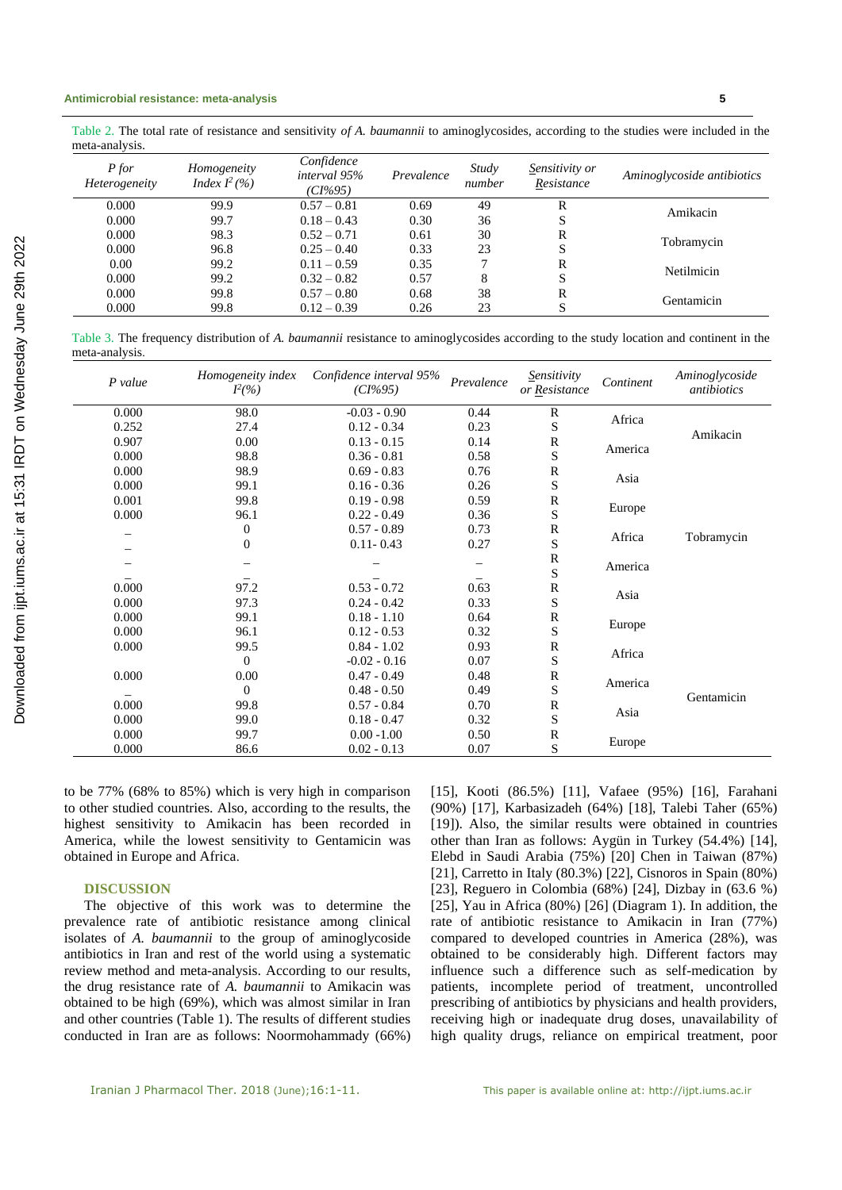Table 2. The total rate of resistance and sensitivity *of A. baumannii* to aminoglycosides, according to the studies were included in the meta-analysis.

| P for<br><i>Heterogeneity</i> | Homogeneity<br>Index $I^2(\% )$ | Confidence<br>interval 95%<br>$(CI\%95)$ | Prevalence | Study<br>number | Sensitivity or<br>Resistance | Aminoglycoside antibiotics |
|-------------------------------|---------------------------------|------------------------------------------|------------|-----------------|------------------------------|----------------------------|
| 0.000                         | 99.9                            | $0.57 - 0.81$                            | 0.69       | 49              | R                            | Amikacin                   |
| 0.000                         | 99.7                            | $0.18 - 0.43$                            | 0.30       | 36              | S                            |                            |
| 0.000                         | 98.3                            | $0.52 - 0.71$                            | 0.61       | 30              | R                            |                            |
| 0.000                         | 96.8                            | $0.25 - 0.40$                            | 0.33       | 23              | S                            | Tobramycin                 |
| 0.00                          | 99.2                            | $0.11 - 0.59$                            | 0.35       |                 | R                            | Netilmicin                 |
| 0.000                         | 99.2                            | $0.32 - 0.82$                            | 0.57       | 8               | S                            |                            |
| 0.000                         | 99.8                            | $0.57 - 0.80$                            | 0.68       | 38              | R                            |                            |
| 0.000                         | 99.8                            | $0.12 - 0.39$                            | 0.26       | 23              | S                            | Gentamicin                 |

Table 3. The frequency distribution of *A. baumannii* resistance to aminoglycosides according to the study location and continent in the meta-analysis.

| $P$ value | Homogeneity index<br>$I^2(\% )$ | Confidence interval 95%<br>$(CI\%95)$ | Prevalence | Sensitivity<br>or Resistance | Continent | Aminoglycoside<br>antibiotics |
|-----------|---------------------------------|---------------------------------------|------------|------------------------------|-----------|-------------------------------|
| 0.000     | 98.0                            | $-0.03 - 0.90$                        | 0.44       | $\mathbb{R}$                 | Africa    |                               |
| 0.252     | 27.4                            | $0.12 - 0.34$                         | 0.23       | S                            |           | Amikacin                      |
| 0.907     | 0.00                            | $0.13 - 0.15$                         | 0.14       | $\mathbb{R}$                 | America   |                               |
| 0.000     | 98.8                            | $0.36 - 0.81$                         | 0.58       | $\mathbf S$                  |           |                               |
| 0.000     | 98.9                            | $0.69 - 0.83$                         | 0.76       | $\mathbb{R}$                 | Asia      |                               |
| 0.000     | 99.1                            | $0.16 - 0.36$                         | 0.26       | $\mathbf S$                  |           |                               |
| 0.001     | 99.8                            | $0.19 - 0.98$                         | 0.59       | $\mathbb{R}$                 |           |                               |
| 0.000     | 96.1                            | $0.22 - 0.49$                         | 0.36       | $\mathbf S$                  | Europe    |                               |
|           | $\boldsymbol{0}$                | $0.57 - 0.89$                         | 0.73       | ${\mathbb R}$                | Africa    |                               |
|           | $\mathbf{0}$                    | $0.11 - 0.43$                         | 0.27       | S                            |           | Tobramycin                    |
|           |                                 |                                       |            | ${\bf R}$                    |           |                               |
|           |                                 |                                       |            | S                            | America   |                               |
| 0.000     | 97.2                            | $0.53 - 0.72$                         | 0.63       | ${\mathbb R}$                | Asia      |                               |
| 0.000     | 97.3                            | $0.24 - 0.42$                         | 0.33       | S                            |           |                               |
| 0.000     | 99.1                            | $0.18 - 1.10$                         | 0.64       | ${\mathbb R}$                |           |                               |
| 0.000     | 96.1                            | $0.12 - 0.53$                         | 0.32       | $\mathbf S$                  | Europe    |                               |
| 0.000     | 99.5                            | $0.84 - 1.02$                         | 0.93       | R                            | Africa    |                               |
|           | $\Omega$                        | $-0.02 - 0.16$                        | 0.07       | $\mathbf S$                  |           |                               |
| 0.000     | 0.00                            | $0.47 - 0.49$                         | 0.48       | ${\mathbb R}$                | America   |                               |
|           | $\Omega$                        | $0.48 - 0.50$                         | 0.49       | S                            |           | Gentamicin                    |
| 0.000     | 99.8                            | $0.57 - 0.84$                         | 0.70       | R                            |           |                               |
| 0.000     | 99.0                            | $0.18 - 0.47$                         | 0.32       | S                            | Asia      |                               |
| 0.000     | 99.7                            | $0.00 - 1.00$                         | 0.50       | ${\mathbb R}$                |           |                               |
| 0.000     | 86.6                            | $0.02 - 0.13$                         | 0.07       | S                            | Europe    |                               |

to be 77% (68% to 85%) which is very high in comparison to other studied countries. Also, according to the results, the highest sensitivity to Amikacin has been recorded in America, while the lowest sensitivity to Gentamicin was obtained in Europe and Africa.

### **DISCUSSION**

The objective of this work was to determine the prevalence rate of antibiotic resistance among clinical isolates of *A. baumannii* to the group of aminoglycoside antibiotics in Iran and rest of the world using a systematic review method and meta-analysis. According to our results, the drug resistance rate of *A. baumannii* to Amikacin was obtained to be high (69%), which was almost similar in Iran and other countries (Table 1). The results of different studies conducted in Iran are as follows: Noormohammady (66%) [15], Kooti (86.5%) [11], Vafaee (95%) [16], Farahani (90%) [17], Karbasizadeh (64%) [18], Talebi Taher (65%) [19]). Also, the similar results were obtained in countries other than Iran as follows: Aygün in Turkey (54.4%) [14], Elebd in Saudi Arabia (75%) [20] Chen in Taiwan (87%) [21], Carretto in Italy (80.3%) [22], Cisnoros in Spain (80%) [23], Reguero in Colombia (68%) [24], Dizbay in (63.6 %) [25], Yau in Africa (80%) [26] (Diagram 1). In addition, the rate of antibiotic resistance to Amikacin in Iran (77%) compared to developed countries in America (28%), was obtained to be considerably high. Different factors may influence such a difference such as self-medication by patients, incomplete period of treatment, uncontrolled prescribing of antibiotics by physicians and health providers, receiving high or inadequate drug doses, unavailability of high quality drugs, reliance on empirical treatment, poor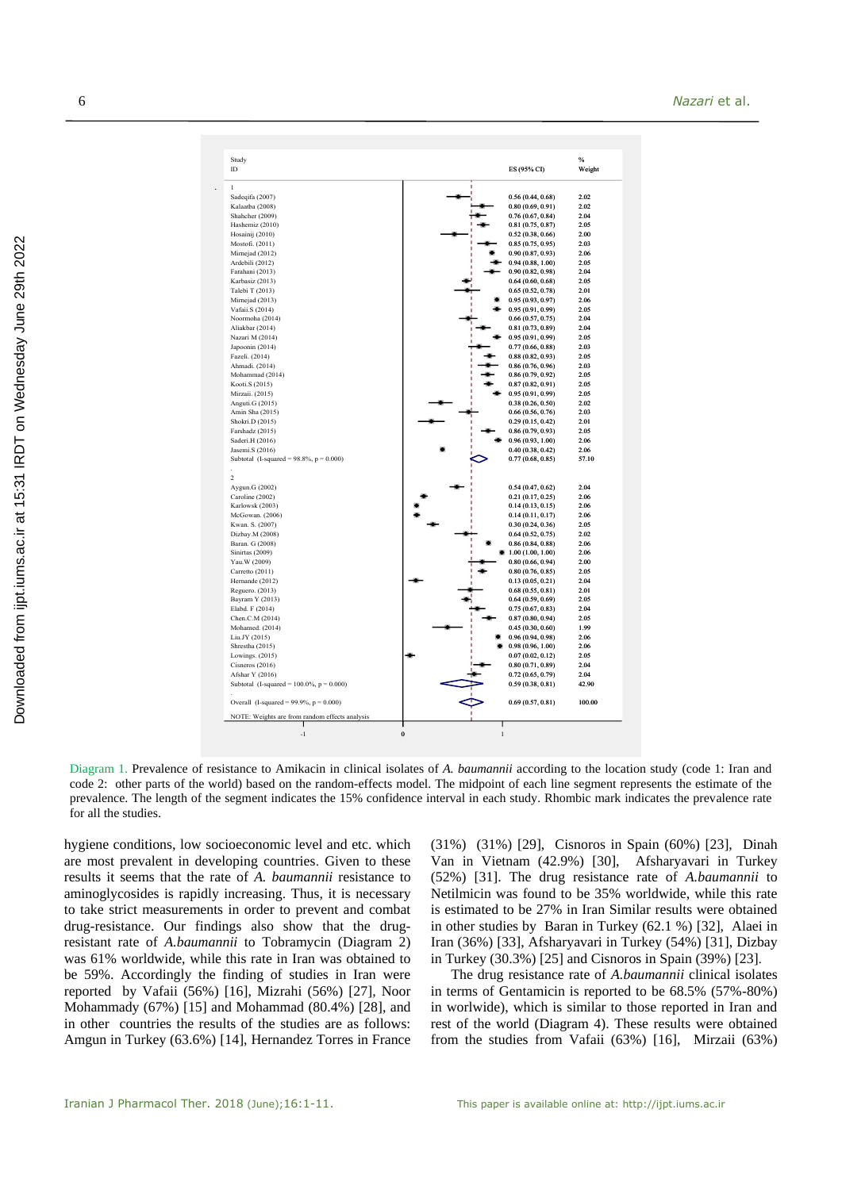| Study<br>ID                                    | ES (95% CI)       | $\%$<br>Weight |
|------------------------------------------------|-------------------|----------------|
| $\mathbf{1}$                                   |                   |                |
| Sadeqifa (2007)                                | 0.56(0.44, 0.68)  | 2.02           |
| Kalaatba (2008)                                | 0.80(0.69, 0.91)  | 2.02           |
| Shahcher (2009)                                | 0.76(0.67, 0.84)  | 2.04           |
| Hashemiz (2010)                                | 0.81(0.75, 0.87)  | 2.05           |
| Hosainij (2010)                                | 0.52(0.38, 0.66)  | 2.00           |
| Mostofi. (2011)                                | 0.85(0.75, 0.95)  | 2.03           |
| Mirnejad (2012)                                | 0.90(0.87, 0.93)  | 2.06           |
| Ardebili (2012)                                | 0.94(0.88, 1.00)  | 2.05           |
| Farahani (2013)                                | 0.90(0.82, 0.98)  | 2.04           |
| Karbasiz (2013)                                | 0.64(0.60, 0.68)  | 2.05           |
| Talebi T (2013)                                | 0.65(0.52, 0.78)  | 2.01           |
|                                                |                   | 2.06           |
| Mirnejad (2013)                                | 0.95(0.93, 0.97)  |                |
| Vafaii.S (2014)                                | 0.95(0.91, 0.99)  | 2.05           |
| Noormoha (2014)                                | 0.66(0.57, 0.75)  | 2.04           |
| Aliakbar (2014)                                | 0.81(0.73, 0.89)  | 2.04           |
| Nazari M (2014)                                | 0.95(0.91, 0.99)  | 2.05           |
| Japoonin (2014)                                | 0.77(0.66, 0.88)  | 2.03           |
| Fazeli. (2014)                                 | 0.88(0.82, 0.93)  | 2.05           |
| Ahmadi. (2014)                                 | 0.86(0.76, 0.96)  | 2.03           |
| Mohammad (2014)                                | 0.86(0.79, 0.92)  | 2.05           |
| Kooti.S (2015)                                 | 0.87(0.82, 0.91)  | 2.05           |
| Mirzaii. (2015)                                | 0.95(0.91, 0.99)  | 2.05           |
| Anguti.G (2015)                                | 0.38(0.26, 0.50)  | 2.02           |
| Amin Sha (2015)                                | 0.66(0.56, 0.76)  | 2.03           |
| Shokri.D (2015)                                | 0.29(0.15, 0.42)  | 2.01           |
| Farshadz (2015)                                | 0.86(0.79, 0.93)  | 2.05           |
| Saderi.H (2016)                                | 0.96(0.93, 1.00)  | 2.06           |
| Jasemi.S (2016)                                | 0.40(0.38, 0.42)  | 2.06           |
| Subtotal (I-squared = $98.8\%$ , p = 0.000)    | 0.77(0.68, 0.85)  | 57.10          |
| $\overline{c}$                                 |                   |                |
| Aygun.G (2002)                                 | 0.54(0.47, 0.62)  | 2.04           |
| Caroline (2002)                                | 0.21(0.17, 0.25)  | 2.06           |
| Karlowsk (2003)                                | 0.14(0.13, 0.15)  | 2.06           |
| McGowan. (2006)                                | 0.14(0.11, 0.17)  | 2.06           |
| Kwan. S. (2007)                                | 0.30(0.24, 0.36)  | 2.05           |
| Dizbay.M (2008)                                | 0.64(0.52, 0.75)  | 2.02           |
| Baran. G (2008)                                | 0.86(0.84, 0.88)  | 2.06           |
| Sinirtas (2009)                                | 1.00(1.00, 1.00)  | 2.06           |
| Yau. W (2009)                                  | 0.80(0.66, 0.94)  | 2.00           |
| Carretto (2011)                                |                   | 2.05           |
| Hernande (2012)                                | 0.80(0.76, 0.85)  | 2.04           |
|                                                | 0.13(0.05, 0.21)  |                |
| Reguero. (2013)                                | 0.68(0.55, 0.81)  | 2.01           |
| Bayram Y (2013)                                | 0.64(0.59, 0.69)  | 2.05           |
| Elabd. F (2014)                                | 0.75(0.67, 0.83)  | 2.04           |
| Chen.C.M (2014)                                | 0.87(0.80, 0.94)  | 2.05           |
| Mohamed. (2014)                                | 0.45(0.30, 0.60)  | 1.99           |
| Liu.JY (2015)                                  | 0.96 (0.94, 0.98) | 2.06           |
| Shrestha (2015)                                | 0.98(0.96, 1.00)  | 2.06           |
| Lowings. (2015)                                | 0.07(0.02, 0.12)  | 2.05           |
| Cisneros $(2016)$                              | 0.80(0.71, 0.89)  | 2.04           |
| Afshar Y (2016)                                | 0.72(0.65, 0.79)  | 2.04           |
| Subtotal (I-squared = $100.0\%$ , p = 0.000)   | 0.59(0.38, 0.81)  | 42.90          |
| Overall (I-squared = $99.9\%$ , p = 0.000)     | 0.69(0.57, 0.81)  | 100.00         |
|                                                |                   |                |
| NOTE: Weights are from random effects analysis |                   |                |

Diagram 1. Prevalence of resistance to Amikacin in clinical isolates of *A. baumannii* according to the location study (code 1: Iran and code 2: other parts of the world) based on the random-effects model. The midpoint of each line segment represents the estimate of the prevalence. The length of the segment indicates the 15% confidence interval in each study. Rhombic mark indicates the prevalence rate for all the studies.

hygiene conditions, low socioeconomic level and etc. which are most prevalent in developing countries. Given to these results it seems that the rate of *A. baumannii* resistance to aminoglycosides is rapidly increasing. Thus, it is necessary to take strict measurements in order to prevent and combat drug-resistance. Our findings also show that the drugresistant rate of *A.baumannii* to Tobramycin (Diagram 2) was 61% worldwide, while this rate in Iran was obtained to be 59%. Accordingly the finding of studies in Iran were reported by Vafaii (56%) [16], Mizrahi (56%) [27], Noor Mohammady (67%) [15] and Mohammad (80.4%) [28], and in other countries the results of the studies are as follows: Amgun in Turkey (63.6%) [14], Hernandez Torres in France (31%) (31%) [29], Cisnoros in Spain (60%) [23], Dinah Van in Vietnam (42.9%) [30], Afsharyavari in Turkey (52%) [31]. The drug resistance rate of *A.baumannii* to Netilmicin was found to be 35% worldwide, while this rate is estimated to be 27% in Iran Similar results were obtained in other studies by Baran in Turkey (62.1 %) [32], Alaei in Iran (36%) [33], Afsharyavari in Turkey (54%) [31], Dizbay in Turkey (30.3%) [25] and Cisnoros in Spain (39%) [23].

The drug resistance rate of *A.baumannii* clinical isolates in terms of Gentamicin is reported to be 68.5% (57%-80%) in worlwide), which is similar to those reported in Iran and rest of the world (Diagram 4). These results were obtained from the studies from Vafaii (63%) [16], Mirzaii (63%)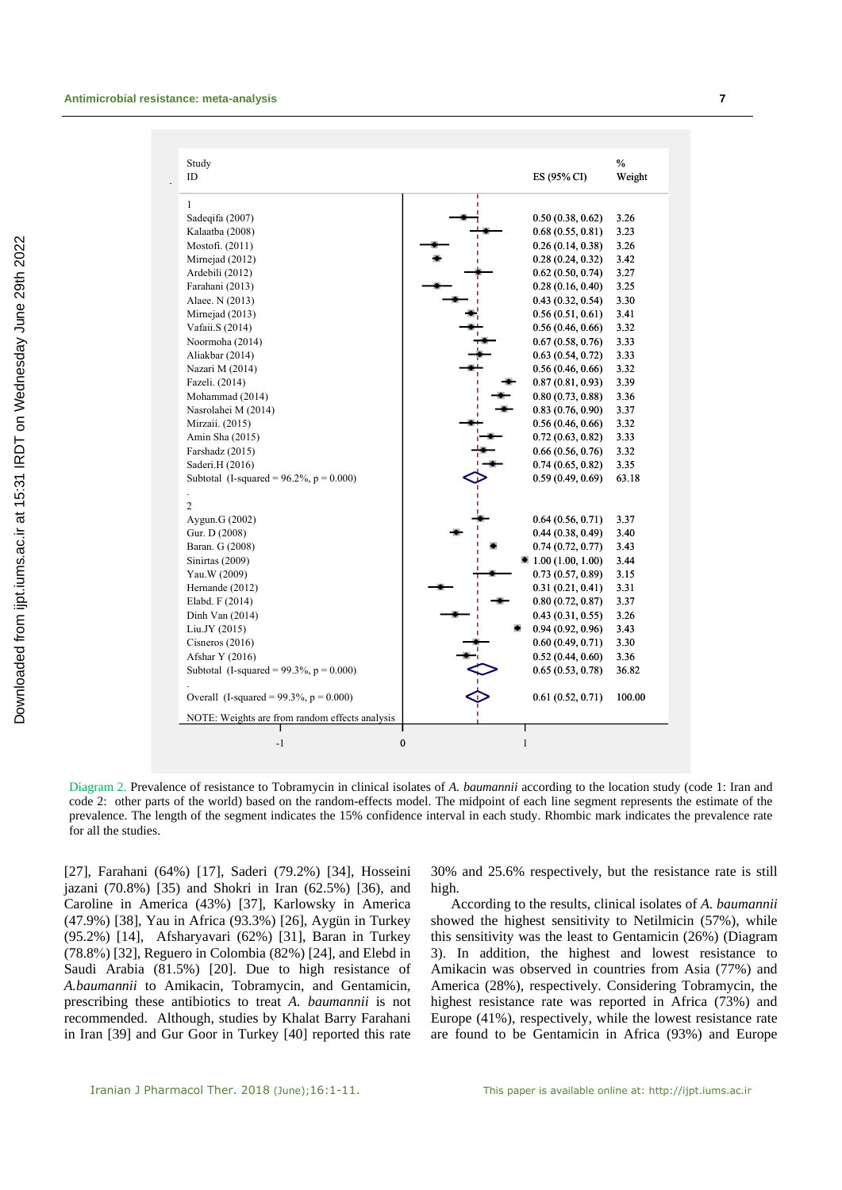| Study<br>ID                                    | ES (95% CI)                      | $\frac{0}{0}$<br>Weight |
|------------------------------------------------|----------------------------------|-------------------------|
| 1                                              |                                  |                         |
| Sadeqifa (2007)                                | 0.50(0.38, 0.62)                 | 3.26                    |
| Kalaatba (2008)                                | 0.68(0.55, 0.81)                 | 3.23                    |
| Mostofi. (2011)                                | 0.26(0.14, 0.38)                 | 3.26                    |
| Mirnejad (2012)                                | 0.28(0.24, 0.32)                 | 3.42                    |
| Ardebili (2012)                                | 0.62(0.50, 0.74)                 | 3.27                    |
| Farahani (2013)                                | 0.28(0.16, 0.40)                 | 3.25                    |
| Alaee. N (2013)                                | 0.43(0.32, 0.54)                 | 3.30                    |
| Mirnejad (2013)                                | 0.56(0.51, 0.61)                 | 3.41                    |
| Vafaii.S (2014)                                | 0.56(0.46, 0.66)                 | 3.32                    |
| Noormoha (2014)                                | 0.67(0.58, 0.76)                 | 3.33                    |
| Aliakbar (2014)                                | 0.63(0.54, 0.72)                 | 3.33                    |
| Nazari M (2014)                                | 0.56(0.46, 0.66)                 | 3.32                    |
| Fazeli. (2014)                                 | 0.87(0.81, 0.93)                 | 3.39                    |
| Mohammad (2014)                                | 0.80(0.73, 0.88)                 | 3.36                    |
| Nasrolahei M (2014)                            | 0.83(0.76, 0.90)                 | 3.37                    |
| Mirzaii. (2015)                                | 0.56(0.46, 0.66)                 | 3.32                    |
| Amin Sha (2015)                                | 0.72(0.63, 0.82)                 | 3.33                    |
| Farshadz (2015)                                | 0.66(0.56, 0.76)                 | 3.32                    |
| Saderi.H (2016)                                | 0.74(0.65, 0.82)                 | 3.35                    |
| Subtotal (I-squared = $96.2\%$ , p = 0.000)    | 0.59(0.49, 0.69)                 | 63.18                   |
| $\overline{2}$                                 |                                  |                         |
| Aygun.G (2002)                                 | 0.64(0.56, 0.71)                 | 3.37                    |
| Gur. D (2008)                                  | 0.44(0.38, 0.49)                 | 3.40                    |
| Baran. G (2008)                                | 0.74(0.72, 0.77)                 | 3.43                    |
| Sinirtas (2009)                                | $\blacksquare$ 1.00 (1.00, 1.00) | 3.44                    |
| Yau.W (2009)                                   | 0.73(0.57, 0.89)                 | 3.15                    |
| Hernande (2012)                                | 0.31(0.21, 0.41)                 | 3.31                    |
| Elabd. F (2014)                                | 0.80(0.72, 0.87)                 | 3.37                    |
| Dinh Van $(2014)$                              | 0.43(0.31, 0.55)                 | 3.26                    |
| Liu.JY (2015)                                  | 0.94(0.92, 0.96)                 | 3.43                    |
| Cisneros $(2016)$                              | 0.60(0.49, 0.71)                 | 3.30                    |
| Afshar Y (2016)                                | 0.52(0.44, 0.60)                 | 3.36                    |
| Subtotal (I-squared = $99.3\%$ , p = 0.000)    | 0.65(0.53, 0.78)                 | 36.82                   |
| Overall (I-squared = $99.3\%$ , p = 0.000)     | 0.61(0.52, 0.71)                 | 100.00                  |
| NOTE: Weights are from random effects analysis |                                  |                         |
| $\bf{0}$<br>$-1$                               | 1                                |                         |

Downloaded from ijpt.iums.ac.ir at 15:31 IRDT on Wednesday June 29th 2022 [Downloaded from ijpt.iums.ac.ir at 15:31 IRDT on Wednesday June 29th 2022](http://ijpt.iums.ac.ir/article-1-316-en.html)

Diagram 2. Prevalence of resistance to Tobramycin in clinical isolates of *A. baumannii* according to the location study (code 1: Iran and code 2: other parts of the world) based on the random-effects model. The midpoint of each line segment represents the estimate of the prevalence. The length of the segment indicates the 15% confidence interval in each study. Rhombic mark indicates the prevalence rate for all the studies.

[27], Farahani (64%) [17], Saderi (79.2%) [34], Hosseini jazani (70.8%) [35) and Shokri in Iran (62.5%) [36), and Caroline in America (43%) [37], Karlowsky in America (47.9%) [38], Yau in Africa (93.3%) [26], Aygün in Turkey (95.2%) [14], Afsharyavari (62%) [31], Baran in Turkey (78.8%) [32], Reguero in Colombia (82%) [24], and Elebd in Saudi Arabia (81.5%) [20]. Due to high resistance of *A.baumannii* to Amikacin, Tobramycin, and Gentamicin, prescribing these antibiotics to treat *A. baumannii* is not recommended. Although, studies by Khalat Barry Farahani in Iran [39] and Gur Goor in Turkey [40] reported this rate 30% and 25.6% respectively, but the resistance rate is still high.

According to the results, clinical isolates of *A. baumannii* showed the highest sensitivity to Netilmicin (57%), while this sensitivity was the least to Gentamicin (26%) (Diagram 3). In addition, the highest and lowest resistance to Amikacin was observed in countries from Asia (77%) and America (28%), respectively. Considering Tobramycin, the highest resistance rate was reported in Africa (73%) and Europe (41%), respectively, while the lowest resistance rate are found to be Gentamicin in Africa (93%) and Europe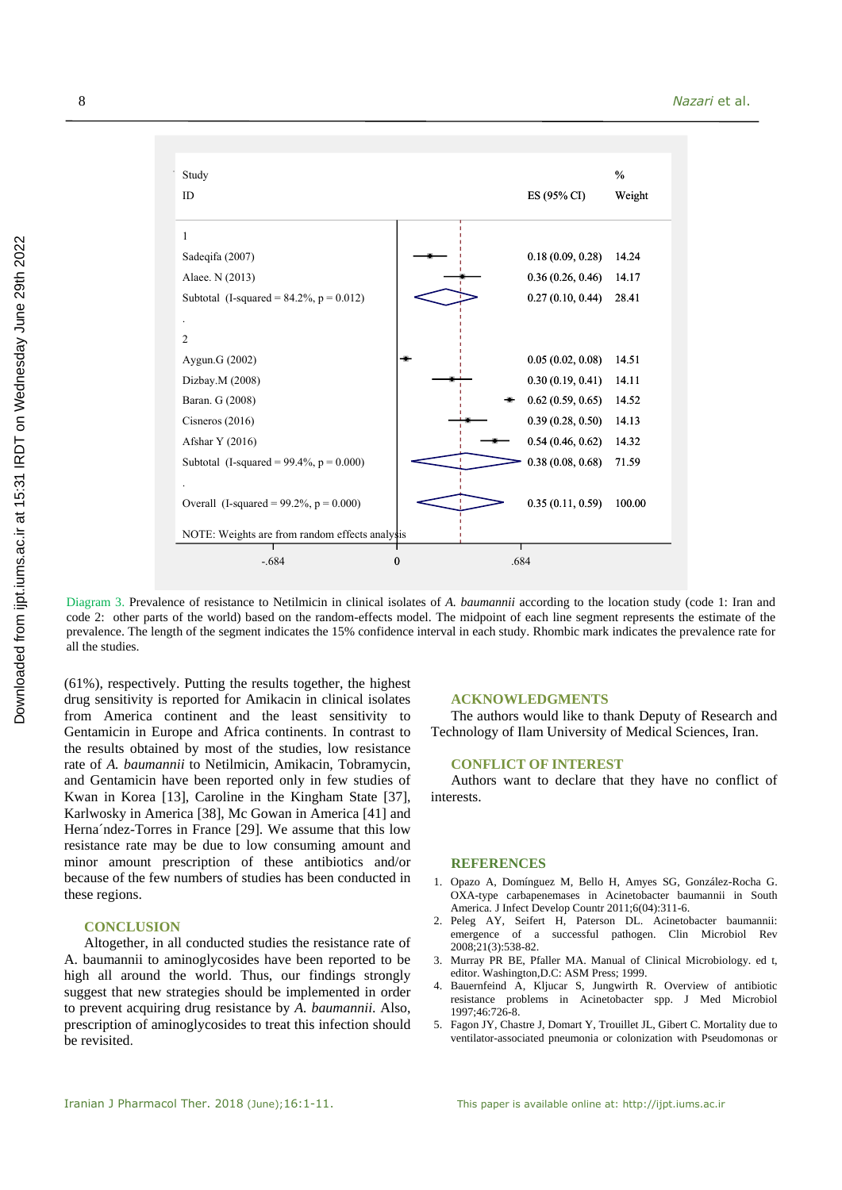

Diagram 3. Prevalence of resistance to Netilmicin in clinical isolates of *A. baumannii* according to the location study (code 1: Iran and code 2: other parts of the world) based on the random-effects model. The midpoint of each line segment represents the estimate of the prevalence. The length of the segment indicates the 15% confidence interval in each study. Rhombic mark indicates the prevalence rate for all the studies.

(61%), respectively. Putting the results together, the highest drug sensitivity is reported for Amikacin in clinical isolates from America continent and the least sensitivity to Gentamicin in Europe and Africa continents. In contrast to the results obtained by most of the studies, low resistance rate of *A. baumannii* to Netilmicin, Amikacin, Tobramycin, and Gentamicin have been reported only in few studies of Kwan in Korea [13], Caroline in the Kingham State [37], Karlwosky in America [38], Mc Gowan in America [41] and Herna´ndez-Torres in France [29]. We assume that this low resistance rate may be due to low consuming amount and minor amount prescription of these antibiotics and/or because of the few numbers of studies has been conducted in these regions.

### **CONCLUSION**

Altogether, in all conducted studies the resistance rate of A. baumannii to aminoglycosides have been reported to be high all around the world. Thus, our findings strongly suggest that new strategies should be implemented in order to prevent acquiring drug resistance by *A. baumannii*. Also, prescription of aminoglycosides to treat this infection should be revisited.

### **ACKNOWLEDGMENTS**

The authors would like to thank Deputy of Research and Technology of Ilam University of Medical Sciences, Iran.

### **CONFLICT OF INTEREST**

Authors want to declare that they have no conflict of interests.

#### **REFERENCES**

- 1. Opazo A, Domínguez M, Bello H, Amyes SG, González-Rocha G. OXA-type carbapenemases in Acinetobacter baumannii in South America. J Infect Develop Countr 2011;6(04):311-6.
- 2. Peleg AY, Seifert H, Paterson DL. Acinetobacter baumannii: emergence of a successful pathogen. Clin Microbiol Rev 2008;21(3):538-82.
- 3. Murray PR BE, Pfaller MA. Manual of Clinical Microbiology. ed t, editor. Washington,D.C: ASM Press; 1999.
- 4. Bauernfeind A, Kljucar S, Jungwirth R. Overview of antibiotic resistance problems in Acinetobacter spp. J Med Microbiol 1997;46:726-8.
- 5. Fagon JY, Chastre J, Domart Y, Trouillet JL, Gibert C. Mortality due to ventilator-associated pneumonia or colonization with Pseudomonas or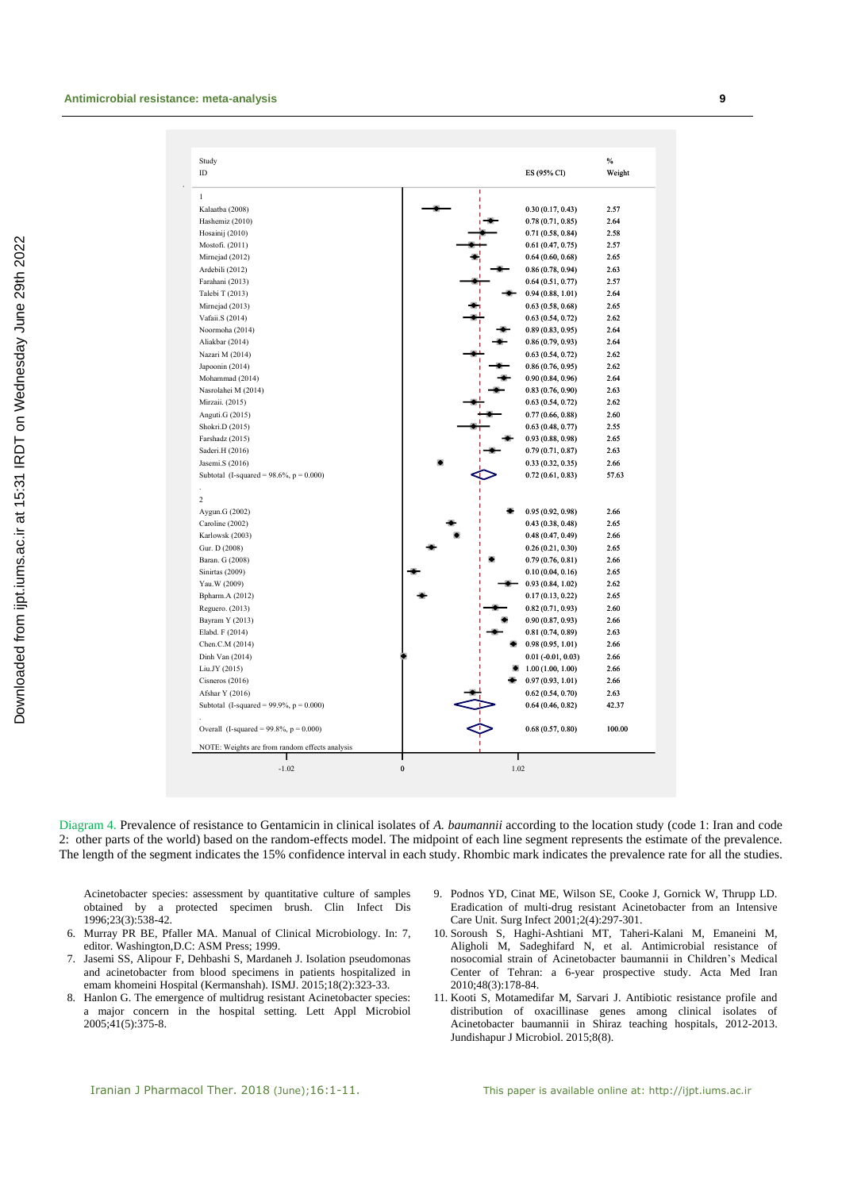| ID                                                                                                                                                                                                                                                                                                                                                                                                                                                                                                                                                                                                                                                                                            | ES (95% CI)          | %<br>Weight |
|-----------------------------------------------------------------------------------------------------------------------------------------------------------------------------------------------------------------------------------------------------------------------------------------------------------------------------------------------------------------------------------------------------------------------------------------------------------------------------------------------------------------------------------------------------------------------------------------------------------------------------------------------------------------------------------------------|----------------------|-------------|
| $\mathbf{1}$<br>Kalaatba (2008)                                                                                                                                                                                                                                                                                                                                                                                                                                                                                                                                                                                                                                                               |                      |             |
| Hashemiz (2010)<br>Hosainij (2010)<br>Mostofi. (2011)<br>Mirnejad (2012)<br>Ardebili (2012)<br>Farahani (2013)<br>Mirnejad (2013)<br>Vafaii.S (2014)<br>Aliakbar (2014)<br>Nazari M (2014)<br>Japoonin (2014)<br>Mohammad (2014)<br>Nasrolahei M (2014)<br>Mirzaii. (2015)<br>Anguti.G (2015)<br>Shokri.D (2015)<br>Farshadz (2015)<br>Saderi.H (2016)<br>Jasemi.S (2016)<br>Subtotal (I-squared = $98.6\%$ , p = 0.000)<br>Aygun.G (2002)<br>Caroline (2002)<br>Karlowsk (2003)<br>Gur. D (2008)<br>Baran. G (2008)<br>Sinirtas (2009)<br>Yau. W (2009)<br>Bpharm.A (2012)<br>Reguero. (2013)<br>Bayram Y (2013)<br>Elabd. F (2014)<br>Chen.C.M (2014)<br>Dinh Van (2014)<br>Afshar Y (2016) |                      |             |
| Talebi T (2013)<br>Noormoha (2014)<br>$\overline{c}$<br>Liu.JY (2015)<br>Cisneros $(2016)$                                                                                                                                                                                                                                                                                                                                                                                                                                                                                                                                                                                                    | 0.30(0.17, 0.43)     | 2.57        |
|                                                                                                                                                                                                                                                                                                                                                                                                                                                                                                                                                                                                                                                                                               | 0.78(0.71, 0.85)     | 2.64        |
|                                                                                                                                                                                                                                                                                                                                                                                                                                                                                                                                                                                                                                                                                               | 0.71(0.58, 0.84)     | 2.58        |
|                                                                                                                                                                                                                                                                                                                                                                                                                                                                                                                                                                                                                                                                                               | 0.61(0.47, 0.75)     | 2.57        |
|                                                                                                                                                                                                                                                                                                                                                                                                                                                                                                                                                                                                                                                                                               | 0.64(0.60, 0.68)     | 2.65        |
|                                                                                                                                                                                                                                                                                                                                                                                                                                                                                                                                                                                                                                                                                               | 0.86(0.78, 0.94)     | 2.63        |
|                                                                                                                                                                                                                                                                                                                                                                                                                                                                                                                                                                                                                                                                                               | 0.64(0.51, 0.77)     | 2.57        |
|                                                                                                                                                                                                                                                                                                                                                                                                                                                                                                                                                                                                                                                                                               | 0.94(0.88, 1.01)     | 2.64        |
|                                                                                                                                                                                                                                                                                                                                                                                                                                                                                                                                                                                                                                                                                               | 0.63(0.58, 0.68)     | 2.65        |
|                                                                                                                                                                                                                                                                                                                                                                                                                                                                                                                                                                                                                                                                                               | 0.63(0.54, 0.72)     | 2.62        |
|                                                                                                                                                                                                                                                                                                                                                                                                                                                                                                                                                                                                                                                                                               | 0.89(0.83, 0.95)     | 2.64        |
|                                                                                                                                                                                                                                                                                                                                                                                                                                                                                                                                                                                                                                                                                               | 0.86(0.79, 0.93)     | 2.64        |
|                                                                                                                                                                                                                                                                                                                                                                                                                                                                                                                                                                                                                                                                                               | 0.63(0.54, 0.72)     | 2.62        |
|                                                                                                                                                                                                                                                                                                                                                                                                                                                                                                                                                                                                                                                                                               | 0.86(0.76, 0.95)     | 2.62        |
|                                                                                                                                                                                                                                                                                                                                                                                                                                                                                                                                                                                                                                                                                               | 0.90(0.84, 0.96)     | 2.64        |
|                                                                                                                                                                                                                                                                                                                                                                                                                                                                                                                                                                                                                                                                                               | 0.83(0.76, 0.90)     | 2.63        |
|                                                                                                                                                                                                                                                                                                                                                                                                                                                                                                                                                                                                                                                                                               | 0.63(0.54, 0.72)     | 2.62        |
|                                                                                                                                                                                                                                                                                                                                                                                                                                                                                                                                                                                                                                                                                               | 0.77(0.66, 0.88)     | 2.60        |
|                                                                                                                                                                                                                                                                                                                                                                                                                                                                                                                                                                                                                                                                                               | 0.63(0.48, 0.77)     | 2.55        |
|                                                                                                                                                                                                                                                                                                                                                                                                                                                                                                                                                                                                                                                                                               | 0.93(0.88, 0.98)     | 2.65        |
|                                                                                                                                                                                                                                                                                                                                                                                                                                                                                                                                                                                                                                                                                               | 0.79(0.71, 0.87)     | 2.63        |
|                                                                                                                                                                                                                                                                                                                                                                                                                                                                                                                                                                                                                                                                                               | 0.33(0.32, 0.35)     | 2.66        |
|                                                                                                                                                                                                                                                                                                                                                                                                                                                                                                                                                                                                                                                                                               | 0.72(0.61, 0.83)     | 57.63       |
|                                                                                                                                                                                                                                                                                                                                                                                                                                                                                                                                                                                                                                                                                               |                      |             |
|                                                                                                                                                                                                                                                                                                                                                                                                                                                                                                                                                                                                                                                                                               |                      |             |
|                                                                                                                                                                                                                                                                                                                                                                                                                                                                                                                                                                                                                                                                                               | 0.95(0.92, 0.98)     | 2.66        |
|                                                                                                                                                                                                                                                                                                                                                                                                                                                                                                                                                                                                                                                                                               | 0.43(0.38, 0.48)     | 2.65        |
|                                                                                                                                                                                                                                                                                                                                                                                                                                                                                                                                                                                                                                                                                               | 0.48(0.47, 0.49)     | 2.66        |
|                                                                                                                                                                                                                                                                                                                                                                                                                                                                                                                                                                                                                                                                                               | 0.26(0.21, 0.30)     | 2.65        |
|                                                                                                                                                                                                                                                                                                                                                                                                                                                                                                                                                                                                                                                                                               |                      |             |
|                                                                                                                                                                                                                                                                                                                                                                                                                                                                                                                                                                                                                                                                                               | 0.79(0.76, 0.81)     | 2.66        |
|                                                                                                                                                                                                                                                                                                                                                                                                                                                                                                                                                                                                                                                                                               | 0.10(0.04, 0.16)     | 2.65        |
|                                                                                                                                                                                                                                                                                                                                                                                                                                                                                                                                                                                                                                                                                               | 0.93(0.84, 1.02)     | 2.62        |
|                                                                                                                                                                                                                                                                                                                                                                                                                                                                                                                                                                                                                                                                                               | 0.17(0.13, 0.22)     | 2.65        |
|                                                                                                                                                                                                                                                                                                                                                                                                                                                                                                                                                                                                                                                                                               | 0.82(0.71, 0.93)     | 2.60        |
|                                                                                                                                                                                                                                                                                                                                                                                                                                                                                                                                                                                                                                                                                               | 0.90(0.87, 0.93)     | 2.66        |
|                                                                                                                                                                                                                                                                                                                                                                                                                                                                                                                                                                                                                                                                                               | 0.81(0.74, 0.89)     | 2.63        |
|                                                                                                                                                                                                                                                                                                                                                                                                                                                                                                                                                                                                                                                                                               | 0.98(0.95, 1.01)     | 2.66        |
|                                                                                                                                                                                                                                                                                                                                                                                                                                                                                                                                                                                                                                                                                               | $0.01$ (-0.01, 0.03) | 2.66        |
|                                                                                                                                                                                                                                                                                                                                                                                                                                                                                                                                                                                                                                                                                               | 1.00(1.00, 1.00)     | 2.66        |
|                                                                                                                                                                                                                                                                                                                                                                                                                                                                                                                                                                                                                                                                                               | 0.97(0.93, 1.01)     | 2.66        |
|                                                                                                                                                                                                                                                                                                                                                                                                                                                                                                                                                                                                                                                                                               | 0.62(0.54, 0.70)     | 2.63        |
| Subtotal (I-squared = $99.9\%$ , p = 0.000)                                                                                                                                                                                                                                                                                                                                                                                                                                                                                                                                                                                                                                                   | 0.64(0.46, 0.82)     | 42.37       |
| Overall (I-squared = $99.8\%$ , p = 0.000)                                                                                                                                                                                                                                                                                                                                                                                                                                                                                                                                                                                                                                                    | 0.68(0.57, 0.80)     | 100.00      |
| NOTE: Weights are from random effects analysis                                                                                                                                                                                                                                                                                                                                                                                                                                                                                                                                                                                                                                                |                      |             |

Diagram 4. Prevalence of resistance to Gentamicin in clinical isolates of *A. baumannii* according to the location study (code 1: Iran and code 2: other parts of the world) based on the random-effects model. The midpoint of each line segment represents the estimate of the prevalence. The length of the segment indicates the 15% confidence interval in each study. Rhombic mark indicates the prevalence rate for all the studies.

Acinetobacter species: assessment by quantitative culture of samples obtained by a protected specimen brush. Clin Infect Dis 1996;23(3):538-42.

- 6. Murray PR BE, Pfaller MA. Manual of Clinical Microbiology. In: 7, editor. Washington,D.C: ASM Press; 1999.
- 7. Jasemi SS, Alipour F, Dehbashi S, Mardaneh J. Isolation pseudomonas and acinetobacter from blood specimens in patients hospitalized in emam khomeini Hospital (Kermanshah). ISMJ. 2015;18(2):323-33.
- 8. Hanlon G. The emergence of multidrug resistant Acinetobacter species: a major concern in the hospital setting. Lett Appl Microbiol 2005;41(5):375-8.
- 9. Podnos YD, Cinat ME, Wilson SE, Cooke J, Gornick W, Thrupp LD. Eradication of multi-drug resistant Acinetobacter from an Intensive Care Unit. Surg Infect 2001;2(4):297-301.
- 10. Soroush S, Haghi-Ashtiani MT, Taheri-Kalani M, Emaneini M, Aligholi M, Sadeghifard N, et al. Antimicrobial resistance of nosocomial strain of Acinetobacter baumannii in Children's Medical Center of Tehran: a 6-year prospective study. Acta Med Iran 2010;48(3):178-84.
- 11. Kooti S, Motamedifar M, Sarvari J. Antibiotic resistance profile and distribution of oxacillinase genes among clinical isolates of Acinetobacter baumannii in Shiraz teaching hospitals, 2012-2013. Jundishapur J Microbiol. 2015;8(8).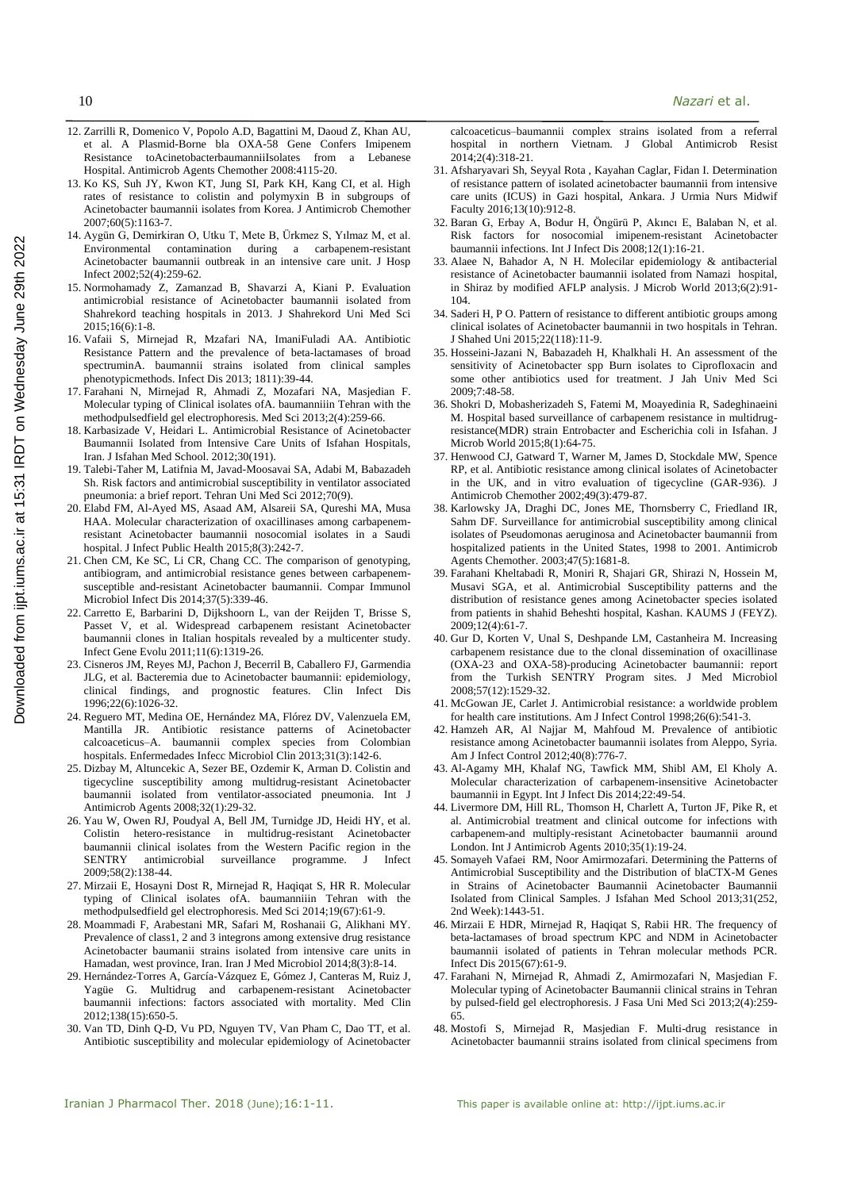- 12. Zarrilli R, Domenico V, Popolo A.D, Bagattini M, Daoud Z, Khan AU, et al. A Plasmid-Borne bla OXA-58 Gene Confers Imipenem Resistance toAcinetobacterbaumanniiIsolates from a Lebanese Hospital. Antimicrob Agents Chemother 2008:4115-20.
- 13. Ko KS, Suh JY, Kwon KT, Jung SI, Park KH, Kang CI, et al. High rates of resistance to colistin and polymyxin B in subgroups of Acinetobacter baumannii isolates from Korea. J Antimicrob Chemother 2007;60(5):1163-7.
- 14. Aygün G, Demirkiran O, Utku T, Mete B, Ürkmez S, Yılmaz M, et al. Environmental contamination during a carbapenem-resistant Acinetobacter baumannii outbreak in an intensive care unit. J Hosp Infect 2002;52(4):259-62.
- 15. Normohamady Z, Zamanzad B, Shavarzi A, Kiani P. Evaluation antimicrobial resistance of Acinetobacter baumannii isolated from Shahrekord teaching hospitals in 2013. J Shahrekord Uni Med Sci 2015;16(6):1-8.
- 16. Vafaii S, Mirnejad R, Mzafari NA, ImaniFuladi AA. Antibiotic Resistance Pattern and the prevalence of beta-lactamases of broad spectruminA. baumannii strains isolated from clinical samples phenotypicmethods. Infect Dis 2013; 1811):39-44.
- 17. Farahani N, Mirnejad R, Ahmadi Z, Mozafari NA, Masjedian F. Molecular typing of Clinical isolates ofA. baumanniiin Tehran with the methodpulsedfield gel electrophoresis. Med Sci 2013;2(4):259-66.
- 18. Karbasizade V, Heidari L. Antimicrobial Resistance of Acinetobacter Baumannii Isolated from Intensive Care Units of Isfahan Hospitals, Iran. J Isfahan Med School. 2012;30(191).
- 19. Talebi-Taher M, Latifnia M, Javad-Moosavai SA, Adabi M, Babazadeh Sh. Risk factors and antimicrobial susceptibility in ventilator associated pneumonia: a brief report. Tehran Uni Med Sci 2012;70(9).
- 20. Elabd FM, Al-Ayed MS, Asaad AM, Alsareii SA, Qureshi MA, Musa HAA. Molecular characterization of oxacillinases among carbapenemresistant Acinetobacter baumannii nosocomial isolates in a Saudi hospital. J Infect Public Health 2015;8(3):242-7.
- 21. Chen CM, Ke SC, Li CR, Chang CC. The comparison of genotyping, antibiogram, and antimicrobial resistance genes between carbapenemsusceptible and-resistant Acinetobacter baumannii. Compar Immunol Microbiol Infect Dis 2014;37(5):339-46.
- 22. Carretto E, Barbarini D, Dijkshoorn L, van der Reijden T, Brisse S, Passet V, et al. Widespread carbapenem resistant Acinetobacter baumannii clones in Italian hospitals revealed by a multicenter study. Infect Gene Evolu 2011;11(6):1319-26.
- 23. Cisneros JM, Reyes MJ, Pachon J, Becerril B, Caballero FJ, Garmendia JLG, et al. Bacteremia due to Acinetobacter baumannii: epidemiology, clinical findings, and prognostic features. Clin Infect Dis 1996;22(6):1026-32.
- 24. Reguero MT, Medina OE, Hernández MA, Flórez DV, Valenzuela EM, Mantilla JR. Antibiotic resistance patterns of Acinetobacter calcoaceticus–A. baumannii complex species from Colombian hospitals. Enfermedades Infecc Microbiol Clin 2013;31(3):142-6.
- 25. Dizbay M, Altuncekic A, Sezer BE, Ozdemir K, Arman D. Colistin and tigecycline susceptibility among multidrug-resistant Acinetobacter baumannii isolated from ventilator-associated pneumonia. Int J Antimicrob Agents 2008;32(1):29-32.
- 26. Yau W, Owen RJ, Poudyal A, Bell JM, Turnidge JD, Heidi HY, et al. Colistin hetero-resistance in multidrug-resistant Acinetobacter baumannii clinical isolates from the Western Pacific region in the SENTRY antimicrobial surveillance programme. J Infect 2009;58(2):138-44.
- 27. Mirzaii E, Hosayni Dost R, Mirnejad R, Haqiqat S, HR R. Molecular typing of Clinical isolates ofA. baumanniiin Tehran with the methodpulsedfield gel electrophoresis. Med Sci 2014;19(67):61-9.
- 28. Moammadi F, Arabestani MR, Safari M, Roshanaii G, Alikhani MY. Prevalence of class1, 2 and 3 integrons among extensive drug resistance Acinetobacter baumanii strains isolated from intensive care units in Hamadan, west province, Iran. Iran J Med Microbiol 2014;8(3):8-14.
- 29. Hernández-Torres A, García-Vázquez E, Gómez J, Canteras M, Ruiz J, Yagüe G. Multidrug and carbapenem-resistant Acinetobacter baumannii infections: factors associated with mortality. Med Clin 2012;138(15):650-5.
- 30. Van TD, Dinh Q-D, Vu PD, Nguyen TV, Van Pham C, Dao TT, et al. Antibiotic susceptibility and molecular epidemiology of Acinetobacter

calcoaceticus–baumannii complex strains isolated from a referral hospital in northern Vietnam. J Global Antimicrob Resist 2014;2(4):318-21.

- 31. Afsharyavari Sh, Seyyal Rota , Kayahan Caglar, Fidan I. Determination of resistance pattern of isolated acinetobacter baumannii from intensive care units (ICUS) in Gazi hospital, Ankara. J Urmia Nurs Midwif Faculty 2016;13(10):912-8.
- 32. Baran G, Erbay A, Bodur H, Öngürü P, Akıncı E, Balaban N, et al. Risk factors for nosocomial imipenem-resistant Acinetobacter baumannii infections. Int J Infect Dis 2008;12(1):16-21.
- 33. Alaee N, Bahador A, N H. Molecilar epidemiology & antibacterial resistance of Acinetobacter baumannii isolated from Namazi hospital, in Shiraz by modified AFLP analysis. J Microb World 2013;6(2):91- 104.
- 34. Saderi H, P O. Pattern of resistance to different antibiotic groups among clinical isolates of Acinetobacter baumannii in two hospitals in Tehran. J Shahed Uni 2015;22(118):11-9.
- 35. Hosseini-Jazani N, Babazadeh H, Khalkhali H. An assessment of the sensitivity of Acinetobacter spp Burn isolates to Ciprofloxacin and some other antibiotics used for treatment. J Jah Univ Med Sci 2009;7:48-58.
- 36. Shokri D, Mobasherizadeh S, Fatemi M, Moayedinia R, Sadeghinaeini M. Hospital based surveillance of carbapenem resistance in multidrugresistance(MDR) strain Entrobacter and Escherichia coli in Isfahan. J Microb World 2015;8(1):64-75.
- 37. Henwood CJ, Gatward T, Warner M, James D, Stockdale MW, Spence RP, et al. Antibiotic resistance among clinical isolates of Acinetobacter in the UK, and in vitro evaluation of tigecycline (GAR-936). J Antimicrob Chemother 2002;49(3):479-87.
- 38. Karlowsky JA, Draghi DC, Jones ME, Thornsberry C, Friedland IR, Sahm DF. Surveillance for antimicrobial susceptibility among clinical isolates of Pseudomonas aeruginosa and Acinetobacter baumannii from hospitalized patients in the United States, 1998 to 2001. Antimicrob Agents Chemother. 2003;47(5):1681-8.
- 39. Farahani Kheltabadi R, Moniri R, Shajari GR, Shirazi N, Hossein M, Musavi SGA, et al. Antimicrobial Susceptibility patterns and the distribution of resistance genes among Acinetobacter species isolated from patients in shahid Beheshti hospital, Kashan. KAUMS J (FEYZ). 2009;12(4):61-7.
- 40. Gur D, Korten V, Unal S, Deshpande LM, Castanheira M. Increasing carbapenem resistance due to the clonal dissemination of oxacillinase (OXA-23 and OXA-58)-producing Acinetobacter baumannii: report from the Turkish SENTRY Program sites. J Med Microbiol 2008;57(12):1529-32.
- 41. McGowan JE, Carlet J. Antimicrobial resistance: a worldwide problem for health care institutions. Am J Infect Control 1998;26(6):541-3.
- 42. Hamzeh AR, Al Najjar M, Mahfoud M. Prevalence of antibiotic resistance among Acinetobacter baumannii isolates from Aleppo, Syria. Am J Infect Control 2012;40(8):776-7.
- 43. Al-Agamy MH, Khalaf NG, Tawfick MM, Shibl AM, El Kholy A. Molecular characterization of carbapenem-insensitive Acinetobacter baumannii in Egypt. Int J Infect Dis 2014;22:49-54.
- 44. Livermore DM, Hill RL, Thomson H, Charlett A, Turton JF, Pike R, et al. Antimicrobial treatment and clinical outcome for infections with carbapenem-and multiply-resistant Acinetobacter baumannii around London. Int J Antimicrob Agents 2010;35(1):19-24.
- 45. Somayeh Vafaei RM, Noor Amirmozafari. Determining the Patterns of Antimicrobial Susceptibility and the Distribution of blaCTX-M Genes in Strains of Acinetobacter Baumannii Acinetobacter Baumannii Isolated from Clinical Samples. J Isfahan Med School 2013;31(252, 2nd Week):1443-51.
- 46. Mirzaii E HDR, Mirnejad R, Haqiqat S, Rabii HR. The frequency of beta-lactamases of broad spectrum KPC and NDM in Acinetobacter baumannii isolated of patients in Tehran molecular methods PCR. Infect Dis 2015(67):61-9.
- 47. Farahani N, Mirnejad R, Ahmadi Z, Amirmozafari N, Masjedian F. Molecular typing of Acinetobacter Baumannii clinical strains in Tehran by pulsed-field gel electrophoresis. J Fasa Uni Med Sci 2013;2(4):259- 65.
- 48. Mostofi S, Mirnejad R, Masjedian F. Multi-drug resistance in Acinetobacter baumannii strains isolated from clinical specimens from